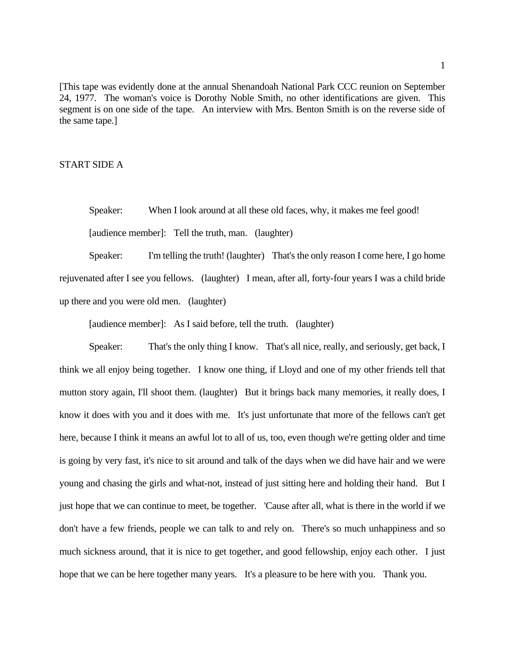[This tape was evidently done at the annual Shenandoah National Park CCC reunion on September 24, 1977. The woman's voice is Dorothy Noble Smith, no other identifications are given. This segment is on one side of the tape. An interview with Mrs. Benton Smith is on the reverse side of the same tape.]

#### START SIDE A

 Speaker: When I look around at all these old faces, why, it makes me feel good! [audience member]: Tell the truth, man. (laughter)

 rejuvenated after I see you fellows. (laughter) I mean, after all, forty-four years I was a child bride Speaker: I'm telling the truth! (laughter) That's the only reason I come here, I go home up there and you were old men. (laughter)

[audience member]: As I said before, tell the truth. (laughter)

Speaker: That's the only thing I know. That's all nice, really, and seriously, get back, I think we all enjoy being together. I know one thing, if Lloyd and one of my other friends tell that mutton story again, I'll shoot them. (laughter) But it brings back many memories, it really does, I know it does with you and it does with me. It's just unfortunate that more of the fellows can't get here, because I think it means an awful lot to all of us, too, even though we're getting older and time is going by very fast, it's nice to sit around and talk of the days when we did have hair and we were young and chasing the girls and what-not, instead of just sitting here and holding their hand. But I just hope that we can continue to meet, be together. 'Cause after all, what is there in the world if we don't have a few friends, people we can talk to and rely on. There's so much unhappiness and so much sickness around, that it is nice to get together, and good fellowship, enjoy each other. I just hope that we can be here together many years. It's a pleasure to be here with you. Thank you.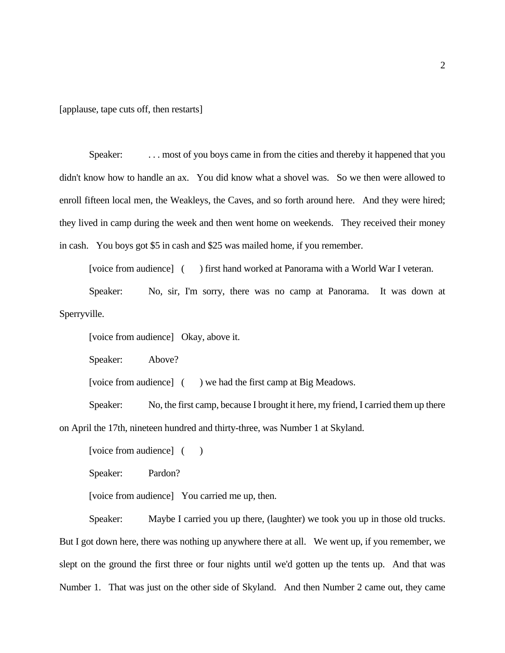[applause, tape cuts off, then restarts]

Speaker: . . . . most of you boys came in from the cities and thereby it happened that you didn't know how to handle an ax. You did know what a shovel was. So we then were allowed to enroll fifteen local men, the Weakleys, the Caves, and so forth around here. And they were hired; they lived in camp during the week and then went home on weekends. They received their money in cash. You boys got \$5 in cash and \$25 was mailed home, if you remember.

[voice from audience] ( ) first hand worked at Panorama with a World War I veteran.

 Speaker: No, sir, I'm sorry, there was no camp at Panorama. It was down at Sperryville.

[voice from audience] Okay, above it.

Speaker: Above?

[voice from audience] ( ) we had the first camp at Big Meadows.

 Speaker: No, the first camp, because I brought it here, my friend, I carried them up there on April the 17th, nineteen hundred and thirty-three, was Number 1 at Skyland.

[voice from audience] ()

Speaker: Pardon?

[voice from audience] You carried me up, then.

 Speaker: Maybe I carried you up there, (laughter) we took you up in those old trucks. But I got down here, there was nothing up anywhere there at all. We went up, if you remember, we slept on the ground the first three or four nights until we'd gotten up the tents up. And that was Number 1. That was just on the other side of Skyland. And then Number 2 came out, they came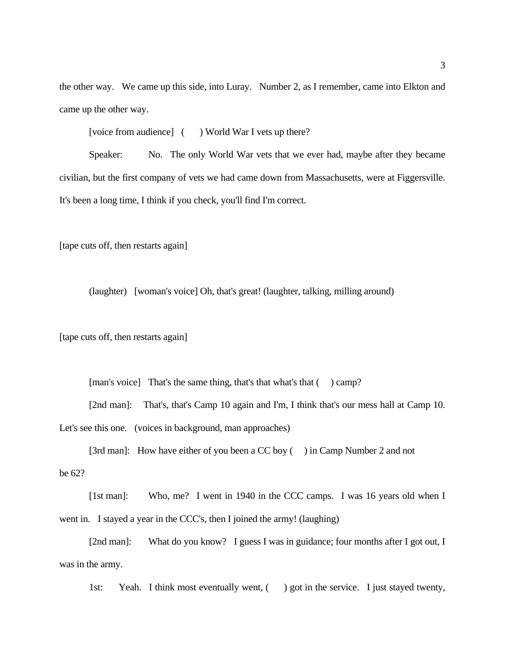the other way. We came up this side, into Luray. Number 2, as I remember, came into Elkton and came up the other way.

[voice from audience] ( ) World War I vets up there?

 Speaker: No. The only World War vets that we ever had, maybe after they became civilian, but the first company of vets we had came down from Massachusetts, were at Figgersville. It's been a long time, I think if you check, you'll find I'm correct.

[tape cuts off, then restarts again]

(laughter) [woman's voice] Oh, that's great! (laughter, talking, milling around)

[tape cuts off, then restarts again]

[tape cuts off, then restarts again]<br>[man's voice] That's the same thing, that's that what's that ( ) camp?

[2nd man]: That's, that's Camp 10 again and I'm, I think that's our mess hall at Camp 10. Let's see this one. (voices in background, man approaches)

[3rd man]: How have either of you been a CC boy () in Camp Number 2 and not be 62?

 [1st man]: Who, me? I went in 1940 in the CCC camps. I was 16 years old when I went in. I stayed a year in the CCC's, then I joined the army! (laughing)

[2nd man]: What do you know? I guess I was in guidance; four months after I got out, I was in the army.

1st: Yeah. I think most eventually went, () got in the service. I just stayed twenty,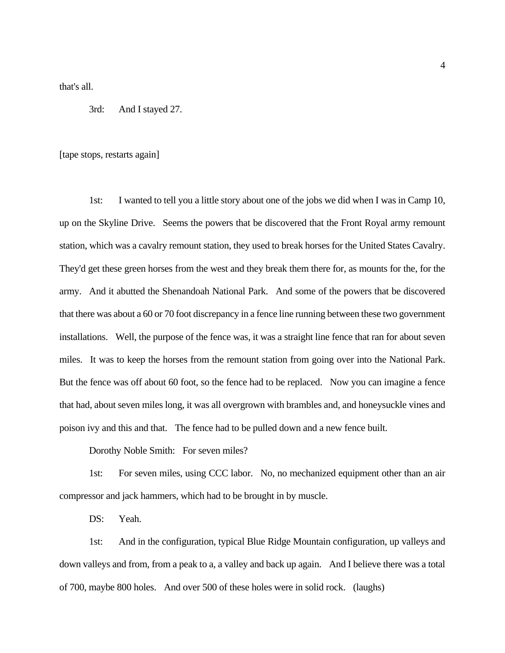that's all.

3rd: And I stayed 27.

[tape stops, restarts again]

 up on the Skyline Drive. Seems the powers that be discovered that the Front Royal army remount station, which was a cavalry remount station, they used to break horses for the United States Cavalry. They'd get these green horses from the west and they break them there for, as mounts for the, for the army. And it abutted the Shenandoah National Park. And some of the powers that be discovered that there was about a 60 or 70 foot discrepancy in a fence line running between these two government installations. Well, the purpose of the fence was, it was a straight line fence that ran for about seven miles. It was to keep the horses from the remount station from going over into the National Park. But the fence was off about 60 foot, so the fence had to be replaced. Now you can imagine a fence that had, about seven miles long, it was all overgrown with brambles and, and honeysuckle vines and poison ivy and this and that. The fence had to be pulled down and a new fence built. 1st: I wanted to tell you a little story about one of the jobs we did when I was in Camp 10,

Dorothy Noble Smith: For seven miles?

1st: For seven miles, using CCC labor. No, no mechanized equipment other than an air compressor and jack hammers, which had to be brought in by muscle.

DS: Yeah.

 down valleys and from, from a peak to a, a valley and back up again. And I believe there was a total of 700, maybe 800 holes. And over 500 of these holes were in solid rock. (laughs) 1st: And in the configuration, typical Blue Ridge Mountain configuration, up valleys and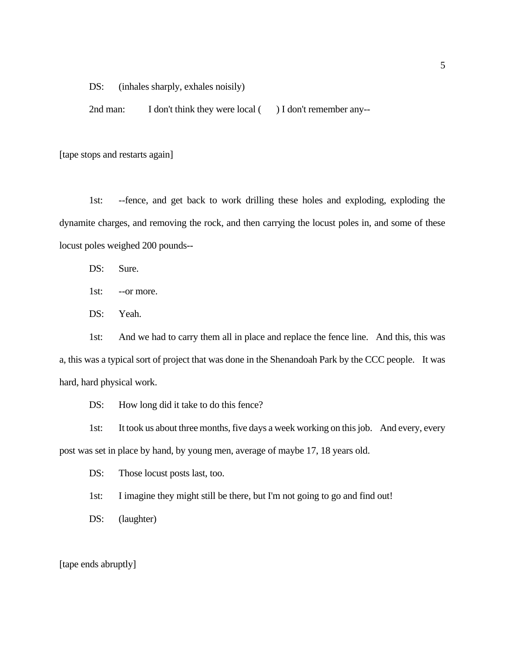DS: (inhales sharply, exhales noisily)

2nd man: I don't think they were local ( ) I don't remember any--

[tape stops and restarts again]

 locust poles weighed 200 pounds-- 1st: --fence, and get back to work drilling these holes and exploding, exploding the dynamite charges, and removing the rock, and then carrying the locust poles in, and some of these

DS: Sure.

1st: --or more.

DS: Yeah.

 a, this was a typical sort of project that was done in the Shenandoah Park by the CCC people. It was 1st: And we had to carry them all in place and replace the fence line. And this, this was hard, hard physical work.

DS: How long did it take to do this fence?

 post was set in place by hand, by young men, average of maybe 17, 18 years old. 1st: It took us about three months, five days a week working on this job. And every, every

DS: Those locust posts last, too.

1st: I imagine they might still be there, but I'm not going to go and find out!

DS: (laughter)

[tape ends abruptly]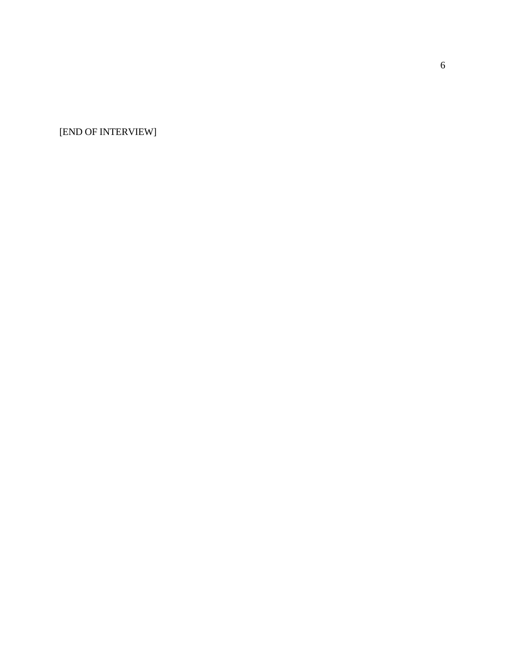[END OF INTERVIEW]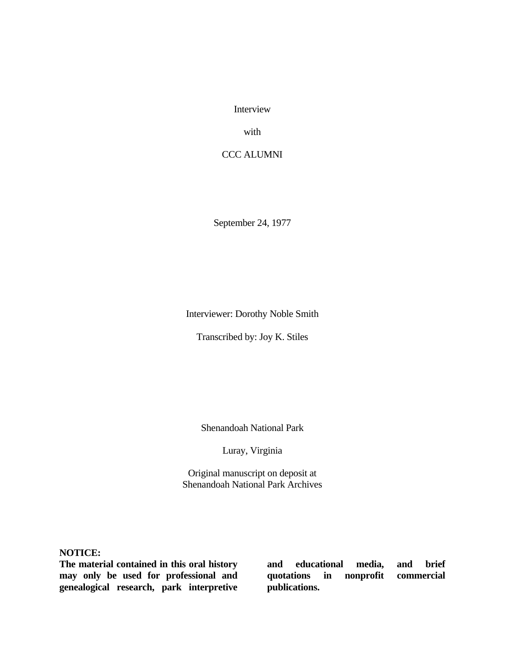Interview

with

# CCC ALUMNI

September 24, 1977

Interviewer: Dorothy Noble Smith

Transcribed by: Joy K. Stiles

Shenandoah National Park

Luray, Virginia

Original manuscript on deposit at Shenandoah National Park Archives

**NOTICE:** 

 **The material contained in this oral history may only be used for professional and genealogical research, park interpretive** 

**and educational media,**  quotations in **publications. and brief commercial**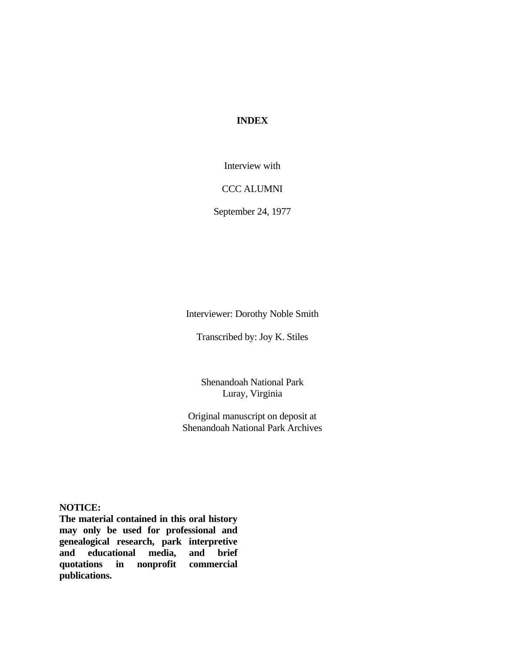## **INDEX**

Interview with

CCC ALUMNI

September 24, 1977

Interviewer: Dorothy Noble Smith

Transcribed by: Joy K. Stiles

Shenandoah National Park Luray, Virginia

Original manuscript on deposit at Shenandoah National Park Archives

**NOTICE:** 

 **The material contained in this oral history**  media, **may only be used for professional and genealogical research, park interpretive and educational media, and brief quotations in nonprofit commercial publications.**